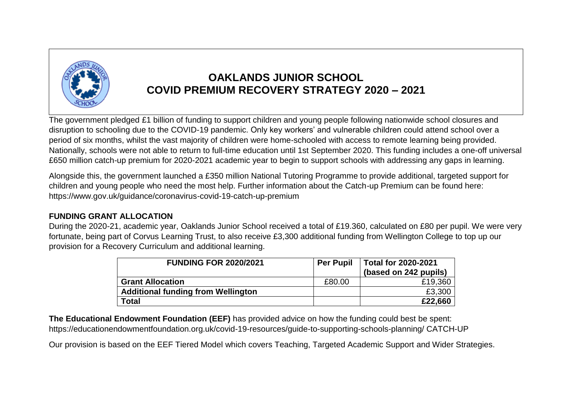

## **OAKLANDS JUNIOR SCHOOL COVID PREMIUM RECOVERY STRATEGY 2020 – 2021**

The government pledged £1 billion of funding to support children and young people following nationwide school closures and disruption to schooling due to the COVID-19 pandemic. Only key workers' and vulnerable children could attend school over a period of six months, whilst the vast majority of children were home-schooled with access to remote learning being provided. Nationally, schools were not able to return to full-time education until 1st September 2020. This funding includes a one-off universal £650 million catch-up premium for 2020-2021 academic year to begin to support schools with addressing any gaps in learning.

Alongside this, the government launched a £350 million National Tutoring Programme to provide additional, targeted support for children and young people who need the most help. Further information about the Catch-up Premium can be found here: https://www.gov.uk/guidance/coronavirus-covid-19-catch-up-premium

## **FUNDING GRANT ALLOCATION**

During the 2020-21, academic year, Oaklands Junior School received a total of £19.360, calculated on £80 per pupil. We were very fortunate, being part of Corvus Learning Trust, to also receive £3,300 additional funding from Wellington College to top up our provision for a Recovery Curriculum and additional learning.

| <b>FUNDING FOR 2020/2021</b>              | <b>Per Pupil</b> | <b>Total for 2020-2021</b><br>(based on 242 pupils) |
|-------------------------------------------|------------------|-----------------------------------------------------|
| <b>Grant Allocation</b>                   | £80.00           | £19,360                                             |
| <b>Additional funding from Wellington</b> |                  | £3,300                                              |
| <b>Total</b>                              |                  | £22,660                                             |

**The Educational Endowment Foundation (EEF)** has provided advice on how the funding could best be spent: https://educationendowmentfoundation.org.uk/covid-19-resources/guide-to-supporting-schools-planning/ CATCH-UP

Our provision is based on the EEF Tiered Model which covers Teaching, Targeted Academic Support and Wider Strategies.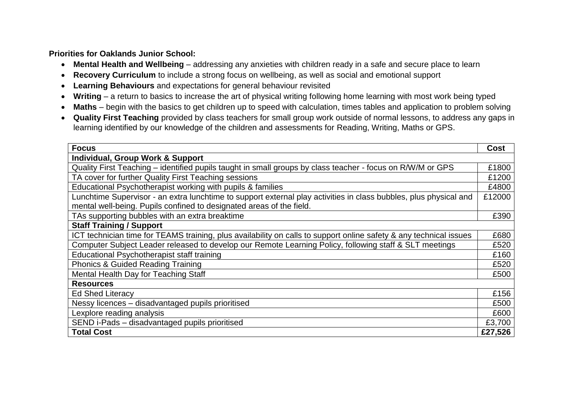**Priorities for Oaklands Junior School:**

- **Mental Health and Wellbeing** addressing any anxieties with children ready in a safe and secure place to learn
- **Recovery Curriculum** to include a strong focus on wellbeing, as well as social and emotional support
- **Learning Behaviours** and expectations for general behaviour revisited
- **Writing** a return to basics to increase the art of physical writing following home learning with most work being typed
- Maths begin with the basics to get children up to speed with calculation, times tables and application to problem solving
- **Quality First Teaching** provided by class teachers for small group work outside of normal lessons, to address any gaps in learning identified by our knowledge of the children and assessments for Reading, Writing, Maths or GPS.

| <b>Focus</b>                                                                                                       | <b>Cost</b> |  |  |
|--------------------------------------------------------------------------------------------------------------------|-------------|--|--|
| Individual, Group Work & Support                                                                                   |             |  |  |
| Quality First Teaching – identified pupils taught in small groups by class teacher - focus on R/W/M or GPS         |             |  |  |
| TA cover for further Quality First Teaching sessions                                                               |             |  |  |
| Educational Psychotherapist working with pupils & families                                                         | £4800       |  |  |
| Lunchtime Supervisor - an extra lunchtime to support external play activities in class bubbles, plus physical and  |             |  |  |
| mental well-being. Pupils confined to designated areas of the field.                                               |             |  |  |
| TAs supporting bubbles with an extra breaktime                                                                     | £390        |  |  |
| <b>Staff Training / Support</b>                                                                                    |             |  |  |
| ICT technician time for TEAMS training, plus availability on calls to support online safety & any technical issues | £680        |  |  |
| Computer Subject Leader released to develop our Remote Learning Policy, following staff & SLT meetings             | £520        |  |  |
| Educational Psychotherapist staff training                                                                         | £160        |  |  |
| <b>Phonics &amp; Guided Reading Training</b>                                                                       | £520        |  |  |
| Mental Health Day for Teaching Staff                                                                               | £500        |  |  |
| <b>Resources</b>                                                                                                   |             |  |  |
| <b>Ed Shed Literacy</b>                                                                                            | £156        |  |  |
| Nessy licences - disadvantaged pupils prioritised                                                                  | £500        |  |  |
| Lexplore reading analysis                                                                                          | £600        |  |  |
| SEND i-Pads - disadvantaged pupils prioritised                                                                     | £3,700      |  |  |
| <b>Total Cost</b>                                                                                                  | £27,526     |  |  |